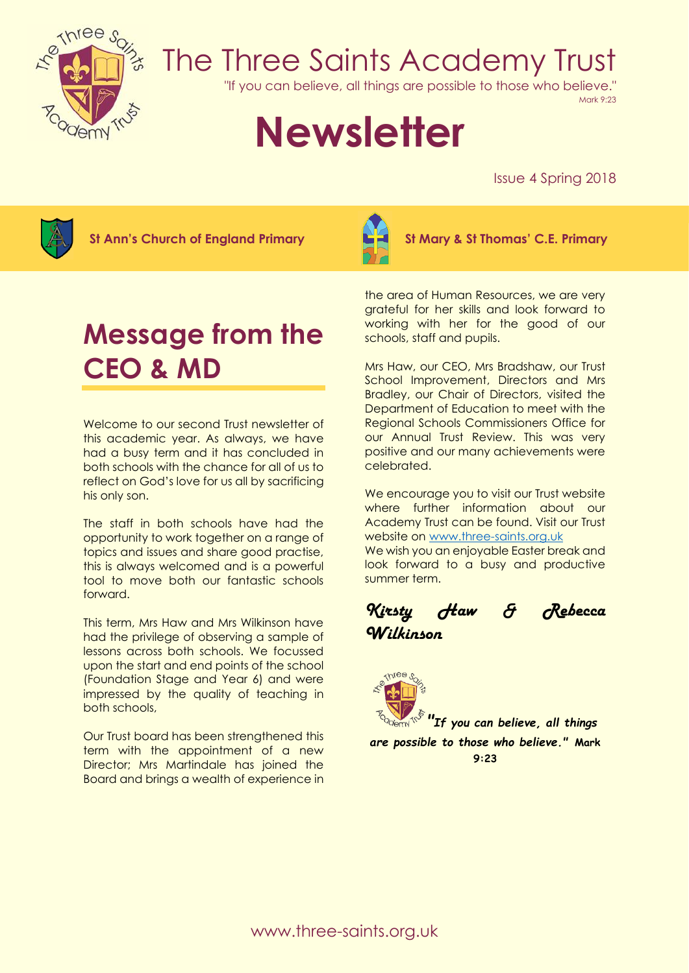

## The Three Saints Academy Trust

"If you can believe, all things are possible to those who believe."

Mark 9:23

# **Newsletter**

Issue 4 Spring 2018



**St Ann's Church of England Primary St Mary & St Thomas' C.E. Primary**



### **Message from the CEO & MD**

Welcome to our second Trust newsletter of this academic year. As always, we have had a busy term and it has concluded in both schools with the chance for all of us to reflect on God's love for us all by sacrificing his only son.

The staff in both schools have had the opportunity to work together on a range of topics and issues and share good practise, this is always welcomed and is a powerful tool to move both our fantastic schools forward.

This term, Mrs Haw and Mrs Wilkinson have had the privilege of observing a sample of lessons across both schools. We focussed upon the start and end points of the school (Foundation Stage and Year 6) and were impressed by the quality of teaching in both schools,

Our Trust board has been strengthened this term with the appointment of a new Director; Mrs Martindale has joined the Board and brings a wealth of experience in

the area of Human Resources, we are very grateful for her skills and look forward to working with her for the good of our schools, staff and pupils.

Mrs Haw, our CEO, Mrs Bradshaw, our Trust School Improvement, Directors and Mrs Bradley, our Chair of Directors, visited the Department of Education to meet with the Regional Schools Commissioners Office for our Annual Trust Review. This was very positive and our many achievements were celebrated.

We encourage you to visit our Trust website where further information about our Academy Trust can be found. Visit our Trust website on [www.three-saints.org.uk](http://www.three-saints.org.uk/)

We wish you an enjoyable Easter break and look forward to a busy and productive summer term.

*Kirsty Haw & Rebecca Wilkinson* 



*"If you can believe, all things are possible to those who believe."* **Mark 9:23**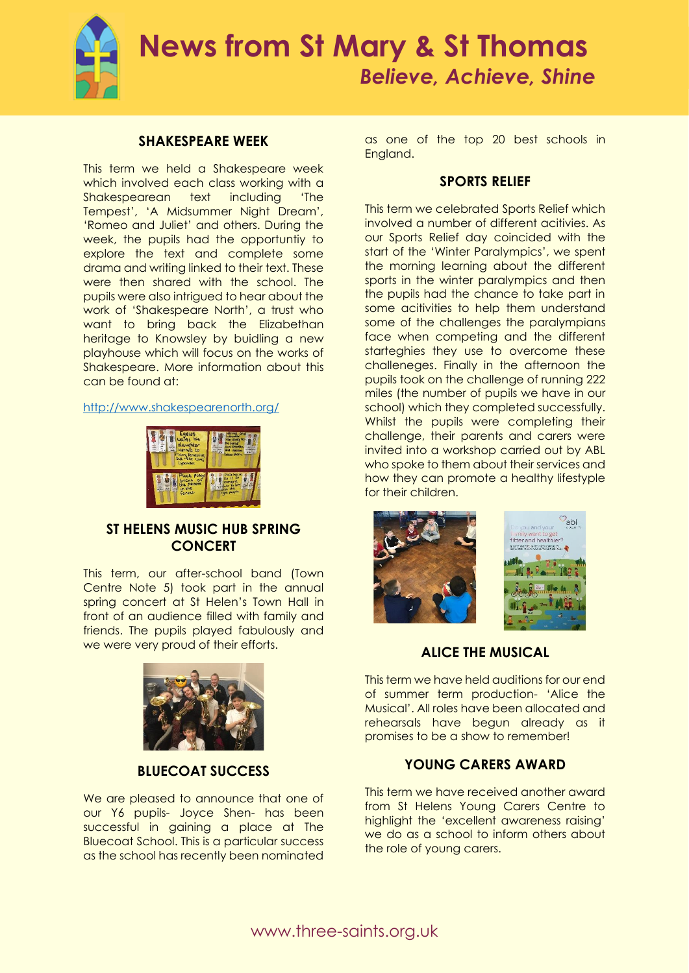

### **SHAKESPEARE WEEK**

This term we held a Shakespeare week which involved each class working with a Shakespearean text including 'The Tempest', 'A Midsummer Night Dream', 'Romeo and Juliet' and others. During the week, the pupils had the opportuntiy to explore the text and complete some drama and writing linked to their text. These were then shared with the school. The pupils were also intrigued to hear about the work of 'Shakespeare North', a trust who want to bring back the Elizabethan heritage to Knowsley by buidling a new playhouse which will focus on the works of Shakespeare. More information about this can be found at:

<http://www.shakespearenorth.org/>



### **ST HELENS MUSIC HUB SPRING CONCERT**

This term, our after-school band (Town Centre Note 5) took part in the annual spring concert at St Helen's Town Hall in front of an audience filled with family and friends. The pupils played fabulously and we were very proud of their efforts.



### **BLUECOAT SUCCESS**

We are pleased to announce that one of our Y6 pupils- Joyce Shen- has been successful in gaining a place at The Bluecoat School. This is a particular success as the school has recently been nominated

as one of the top 20 best schools in England.

### **SPORTS RELIEF**

This term we celebrated Sports Relief which involved a number of different acitivies. As our Sports Relief day coincided with the start of the 'Winter Paralympics', we spent the morning learning about the different sports in the winter paralympics and then the pupils had the chance to take part in some acitivities to help them understand some of the challenges the paralympians face when competing and the different starteghies they use to overcome these challeneges. Finally in the afternoon the pupils took on the challenge of running 222 miles (the number of pupils we have in our school) which they completed successfully. Whilst the pupils were completing their challenge, their parents and carers were invited into a workshop carried out by ABL who spoke to them about their services and how they can promote a healthy lifestyple for their children.



**ALICE THE MUSICAL**

This term we have held auditions for our end of summer term production- 'Alice the Musical'. All roles have been allocated and rehearsals have begun already as it promises to be a show to remember!

### **YOUNG CARERS AWARD**

This term we have received another award from St Helens Young Carers Centre to highlight the 'excellent awareness raising' we do as a school to inform others about the role of young carers.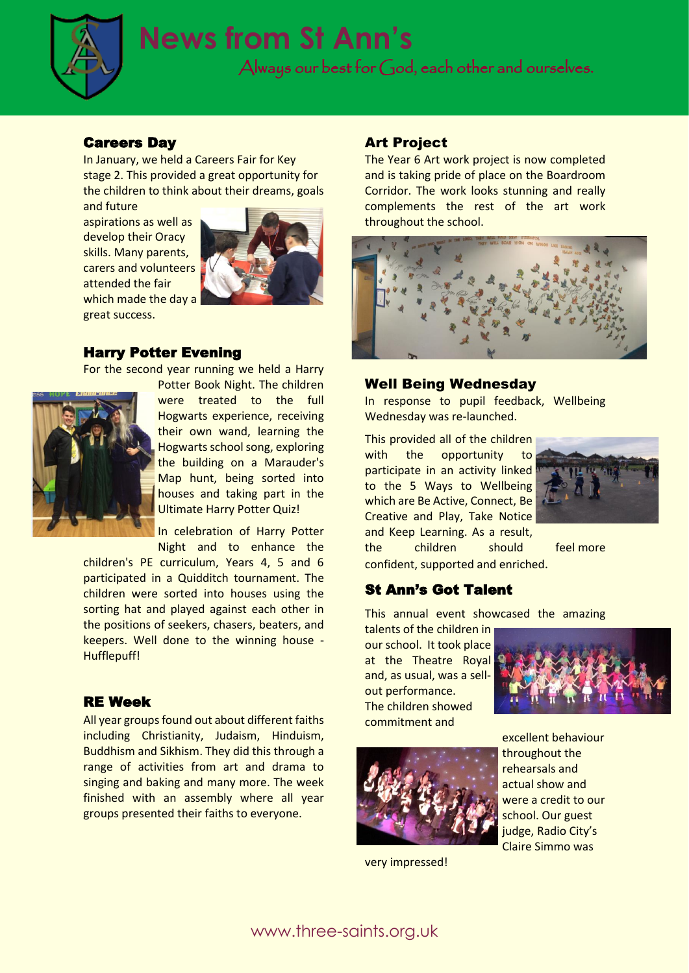

### **News from St Ann's**

Always our best for God, each other and ourselves.

### Careers Day

In January, we held a Careers Fair for Key stage 2. This provided a great opportunity for the children to think about their dreams, goals

and future aspirations as well as develop their Oracy skills. Many parents, carers and volunteers attended the fair which made the day a great success.



### Harry Potter Evening

For the second year running we held a Harry



Potter Book Night. The children were treated to the full Hogwarts experience, receiving their own wand, learning the Hogwarts school song, exploring the building on a Marauder's Map hunt, being sorted into houses and taking part in the Ultimate Harry Potter Quiz!

In celebration of Harry Potter Night and to enhance the

children's PE curriculum, Years 4, 5 and 6 participated in a Quidditch tournament. The children were sorted into houses using the sorting hat and played against each other in the positions of seekers, chasers, beaters, and keepers. Well done to the winning house - Hufflepuff!

### RE Week

All year groups found out about different faiths including Christianity, Judaism, Hinduism, Buddhism and Sikhism. They did this through a range of activities from art and drama to singing and baking and many more. The week finished with an assembly where all year groups presented their faiths to everyone.

### Art Project

The Year 6 Art work project is now completed and is taking pride of place on the Boardroom Corridor. The work looks stunning and really complements the rest of the art work throughout the school.



#### Well Being Wednesday

In response to pupil feedback, Wellbeing Wednesday was re-launched.

This provided all of the children with the opportunity to participate in an activity linked to the 5 Ways to Wellbeing which are Be Active, Connect, Be Creative and Play, Take Notice and Keep Learning. As a result,



the children should feel more confident, supported and enriched.

### St Ann's Got Talent

This annual event showcased the amazing

talents of the children in our school. It took place at the Theatre Royal and, as usual, was a sellout performance. The children showed commitment and





very impressed!

excellent behaviour throughout the rehearsals and actual show and were a credit to our school. Our guest judge, Radio City's Claire Simmo was